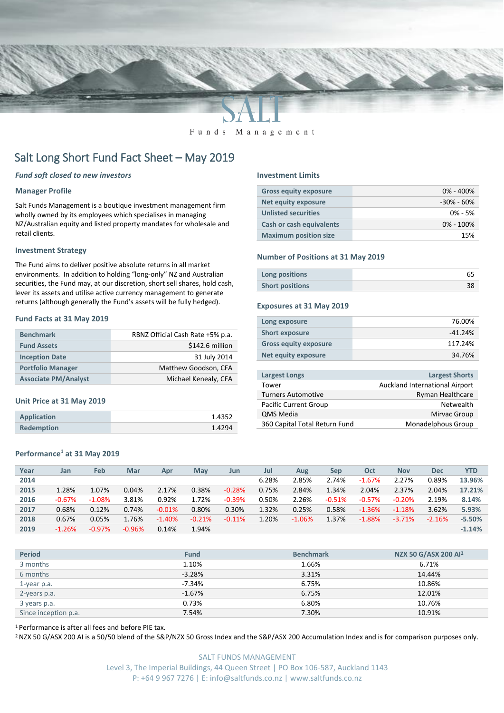

#### Funds Management

# Salt Long Short Fund Fact Sheet – May 2019

# *Fund soft closed to new investors*

## **Manager Profile**

Salt Funds Management is a boutique investment management firm wholly owned by its employees which specialises in managing NZ/Australian equity and listed property mandates for wholesale and retail clients.

### **Investment Strategy**

The Fund aims to deliver positive absolute returns in all market environments. In addition to holding "long-only" NZ and Australian securities, the Fund may, at our discretion, short sell shares, hold cash, lever its assets and utilise active currency management to generate returns (although generally the Fund's assets will be fully hedged).

## **Fund Facts at 31 May 2019**

| <b>Benchmark</b>            | RBNZ Official Cash Rate +5% p.a. |
|-----------------------------|----------------------------------|
| <b>Fund Assets</b>          | \$142.6 million                  |
| <b>Inception Date</b>       | 31 July 2014                     |
| <b>Portfolio Manager</b>    | Matthew Goodson, CFA             |
| <b>Associate PM/Analyst</b> | Michael Kenealy, CFA             |

#### **Unit Price at 31 May 2019**

| <b>Application</b> | 1.4352 |
|--------------------|--------|
| <b>Redemption</b>  | 1.4294 |

# **Performance<sup>1</sup> at 31 May 2019**

#### **Investment Limits**

| <b>Gross equity exposure</b>    | $0\% - 400\%$  |
|---------------------------------|----------------|
| Net equity exposure             | $-30\% - 60\%$ |
| <b>Unlisted securities</b>      | $0\% - 5\%$    |
| <b>Cash or cash equivalents</b> | $0\% - 100\%$  |
| <b>Maximum position size</b>    | 15%            |

### **Number of Positions at 31 May 2019**

| Long positions         |  |
|------------------------|--|
| <b>Short positions</b> |  |

#### **Exposures at 31 May 2019**

| Long exposure                | 76.00%    |
|------------------------------|-----------|
| <b>Short exposure</b>        | $-41.24%$ |
| <b>Gross equity exposure</b> | 117.24%   |
| Net equity exposure          | 34.76%    |

| <b>Largest Longs</b>          | <b>Largest Shorts</b>          |
|-------------------------------|--------------------------------|
| Tower                         | Auckland International Airport |
| <b>Turners Automotive</b>     | <b>Ryman Healthcare</b>        |
| <b>Pacific Current Group</b>  | Netwealth                      |
| <b>QMS Media</b>              | Mirvac Group                   |
| 360 Capital Total Return Fund | Monadelphous Group             |
|                               |                                |

| Year | Jan      | Feb      | Mar      | Apr      | May      | Jun      | Jul   | Aug      | Sep      | Oct      | <b>Nov</b> | <b>Dec</b> | YTD      |
|------|----------|----------|----------|----------|----------|----------|-------|----------|----------|----------|------------|------------|----------|
| 2014 |          |          |          |          |          |          | 6.28% | 2.85%    | 2.74%    | $-1.67%$ | 2.27%      | 0.89%      | 13.96%   |
| 2015 | 1.28%    | 1.07%    | 0.04%    | 2.17%    | 0.38%    | $-0.28%$ | 0.75% | 2.84%    | 1.34%    | 2.04%    | 2.37%      | 2.04%      | 17.21%   |
| 2016 | $-0.67%$ | $-1.08%$ | 3.81%    | 0.92%    | 1.72%    | $-0.39%$ | 0.50% | 2.26%    | $-0.51%$ | $-0.57%$ | $-0.20%$   | 2.19%      | 8.14%    |
| 2017 | 0.68%    | 0.12%    | 0.74%    | $-0.01%$ | 0.80%    | 0.30%    | 1.32% | 0.25%    | 0.58%    | $-1.36%$ | $-1.18%$   | 3.62%      | 5.93%    |
| 2018 | 0.67%    | 0.05%    | 1.76%    | $-1.40%$ | $-0.21%$ | $-0.11%$ | 1.20% | $-1.06%$ | 1.37%    | $-1.88%$ | $-3.71%$   | $-2.16%$   | $-5.50%$ |
| 2019 | $-1.26%$ | $-0.97%$ | $-0.96%$ | 0.14%    | 1.94%    |          |       |          |          |          |            |            | $-1.14%$ |
|      |          |          |          |          |          |          |       |          |          |          |            |            |          |

| <b>Period</b>        | <b>Fund</b> | <b>Benchmark</b> | NZX 50 G/ASX 200 Al <sup>2</sup> |
|----------------------|-------------|------------------|----------------------------------|
| 3 months             | 1.10%       | 1.66%            | 6.71%                            |
| 6 months             | $-3.28%$    | 3.31%            | 14.44%                           |
| 1-year p.a.          | $-7.34%$    | 6.75%            | 10.86%                           |
| 2-years p.a.         | $-1.67%$    | 6.75%            | 12.01%                           |
| 3 years p.a.         | 0.73%       | 6.80%            | 10.76%                           |
| Since inception p.a. | 7.54%       | 7.30%            | 10.91%                           |

<sup>1</sup> Performance is after all fees and before PIE tax.

<sup>2</sup> NZX 50 G/ASX 200 AI is a 50/50 blend of the S&P/NZX 50 Gross Index and the S&P/ASX 200 Accumulation Index and is for comparison purposes only.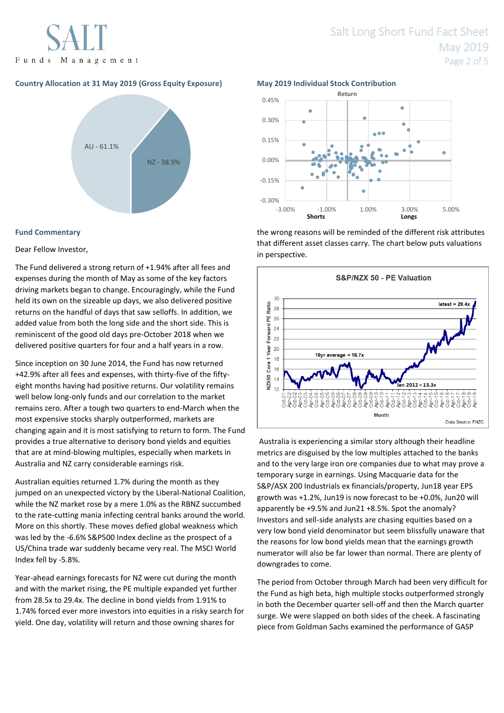Funds Management

# **Country Allocation at 31 May 2019 (Gross Equity Exposure) May 2019 Individual Stock Contribution**



# **Fund Commentary**

Dear Fellow Investor,

The Fund delivered a strong return of +1.94% after all fees and expenses during the month of May as some of the key factors driving markets began to change. Encouragingly, while the Fund held its own on the sizeable up days, we also delivered positive returns on the handful of days that saw selloffs. In addition, we added value from both the long side and the short side. This is reminiscent of the good old days pre-October 2018 when we delivered positive quarters for four and a half years in a row.

Since inception on 30 June 2014, the Fund has now returned +42.9% after all fees and expenses, with thirty-five of the fiftyeight months having had positive returns. Our volatility remains well below long-only funds and our correlation to the market remains zero. After a tough two quarters to end-March when the most expensive stocks sharply outperformed, markets are changing again and it is most satisfying to return to form. The Fund provides a true alternative to derisory bond yields and equities that are at mind-blowing multiples, especially when markets in Australia and NZ carry considerable earnings risk.

Australian equities returned 1.7% during the month as they jumped on an unexpected victory by the Liberal-National Coalition, while the NZ market rose by a mere 1.0% as the RBNZ succumbed to the rate-cutting mania infecting central banks around the world. More on this shortly. These moves defied global weakness which was led by the -6.6% S&P500 Index decline as the prospect of a US/China trade war suddenly became very real. The MSCI World Index fell by -5.8%.

Year-ahead earnings forecasts for NZ were cut during the month and with the market rising, the PE multiple expanded yet further from 28.5x to 29.4x. The decline in bond yields from 1.91% to 1.74% forced ever more investors into equities in a risky search for yield. One day, volatility will return and those owning shares for

# Salt Long Short Fund Fact Sheet May 2019 Page 2 of 5



the wrong reasons will be reminded of the different risk attributes that different asset classes carry. The chart below puts valuations in perspective.



Australia is experiencing a similar story although their headline metrics are disguised by the low multiples attached to the banks and to the very large iron ore companies due to what may prove a temporary surge in earnings. Using Macquarie data for the S&P/ASX 200 Industrials ex financials/property, Jun18 year EPS growth was +1.2%, Jun19 is now forecast to be +0.0%, Jun20 will apparently be +9.5% and Jun21 +8.5%. Spot the anomaly? Investors and sell-side analysts are chasing equities based on a very low bond yield denominator but seem blissfully unaware that the reasons for low bond yields mean that the earnings growth numerator will also be far lower than normal. There are plenty of downgrades to come.

The period from October through March had been very difficult for the Fund as high beta, high multiple stocks outperformed strongly in both the December quarter sell-off and then the March quarter surge. We were slapped on both sides of the cheek. A fascinating piece from Goldman Sachs examined the performance of GASP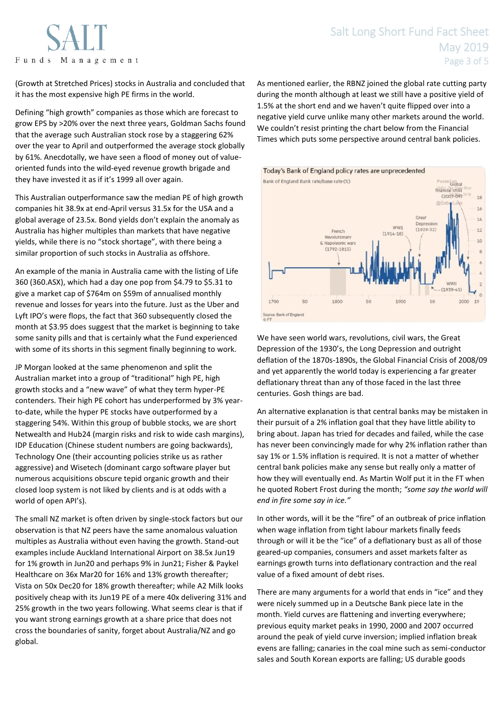



(Growth at Stretched Prices) stocks in Australia and concluded that it has the most expensive high PE firms in the world.

Defining "high growth" companies as those which are forecast to grow EPS by >20% over the next three years, Goldman Sachs found that the average such Australian stock rose by a staggering 62% over the year to April and outperformed the average stock globally by 61%. Anecdotally, we have seen a flood of money out of valueoriented funds into the wild-eyed revenue growth brigade and they have invested it as if it's 1999 all over again.

This Australian outperformance saw the median PE of high growth companies hit 38.9x at end-April versus 31.5x for the USA and a global average of 23.5x. Bond yields don't explain the anomaly as Australia has higher multiples than markets that have negative yields, while there is no "stock shortage", with there being a similar proportion of such stocks in Australia as offshore.

An example of the mania in Australia came with the listing of Life 360 (360.ASX), which had a day one pop from \$4.79 to \$5.31 to give a market cap of \$764m on \$59m of annualised monthly revenue and losses for years into the future. Just as the Uber and Lyft IPO's were flops, the fact that 360 subsequently closed the month at \$3.95 does suggest that the market is beginning to take some sanity pills and that is certainly what the Fund experienced with some of its shorts in this segment finally beginning to work.

JP Morgan looked at the same phenomenon and split the Australian market into a group of "traditional" high PE, high growth stocks and a "new wave" of what they term hyper-PE contenders. Their high PE cohort has underperformed by 3% yearto-date, while the hyper PE stocks have outperformed by a staggering 54%. Within this group of bubble stocks, we are short Netwealth and Hub24 (margin risks and risk to wide cash margins), IDP Education (Chinese student numbers are going backwards), Technology One (their accounting policies strike us as rather aggressive) and Wisetech (dominant cargo software player but numerous acquisitions obscure tepid organic growth and their closed loop system is not liked by clients and is at odds with a world of open API's).

The small NZ market is often driven by single-stock factors but our observation is that NZ peers have the same anomalous valuation multiples as Australia without even having the growth. Stand-out examples include Auckland International Airport on 38.5x Jun19 for 1% growth in Jun20 and perhaps 9% in Jun21; Fisher & Paykel Healthcare on 36x Mar20 for 16% and 13% growth thereafter; Vista on 50x Dec20 for 18% growth thereafter; while A2 Milk looks positively cheap with its Jun19 PE of a mere 40x delivering 31% and 25% growth in the two years following. What seems clear is that if you want strong earnings growth at a share price that does not cross the boundaries of sanity, forget about Australia/NZ and go global.

As mentioned earlier, the RBNZ joined the global rate cutting party during the month although at least we still have a positive yield of 1.5% at the short end and we haven't quite flipped over into a negative yield curve unlike many other markets around the world. We couldn't resist printing the chart below from the Financial Times which puts some perspective around central bank policies.



We have seen world wars, revolutions, civil wars, the Great Depression of the 1930's, the Long Depression and outright deflation of the 1870s-1890s, the Global Financial Crisis of 2008/09 and yet apparently the world today is experiencing a far greater deflationary threat than any of those faced in the last three centuries. Gosh things are bad.

An alternative explanation is that central banks may be mistaken in their pursuit of a 2% inflation goal that they have little ability to bring about. Japan has tried for decades and failed, while the case has never been convincingly made for why 2% inflation rather than say 1% or 1.5% inflation is required. It is not a matter of whether central bank policies make any sense but really only a matter of how they will eventually end. As Martin Wolf put it in the FT when he quoted Robert Frost during the month; *"some say the world will end in fire some say in ice."*

In other words, will it be the "fire" of an outbreak of price inflation when wage inflation from tight labour markets finally feeds through or will it be the "ice" of a deflationary bust as all of those geared-up companies, consumers and asset markets falter as earnings growth turns into deflationary contraction and the real value of a fixed amount of debt rises.

There are many arguments for a world that ends in "ice" and they were nicely summed up in a Deutsche Bank piece late in the month. Yield curves are flattening and inverting everywhere; previous equity market peaks in 1990, 2000 and 2007 occurred around the peak of yield curve inversion; implied inflation break evens are falling; canaries in the coal mine such as semi-conductor sales and South Korean exports are falling; US durable goods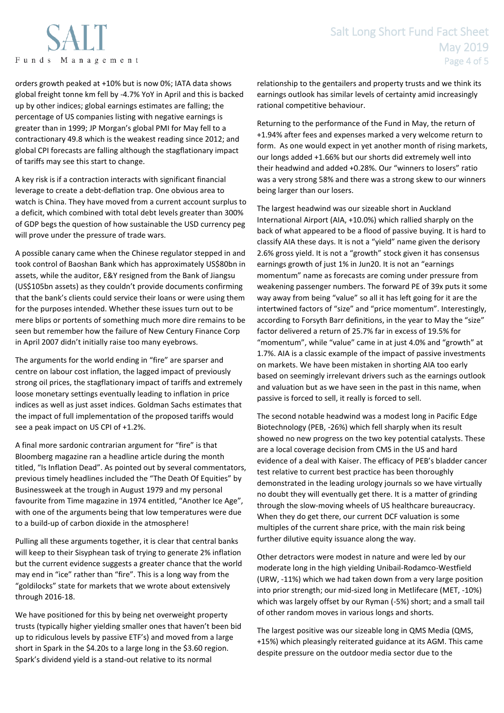

orders growth peaked at +10% but is now 0%; IATA data shows global freight tonne km fell by -4.7% YoY in April and this is backed up by other indices; global earnings estimates are falling; the percentage of US companies listing with negative earnings is greater than in 1999; JP Morgan's global PMI for May fell to a contractionary 49.8 which is the weakest reading since 2012; and global CPI forecasts are falling although the stagflationary impact of tariffs may see this start to change.

A key risk is if a contraction interacts with significant financial leverage to create a debt-deflation trap. One obvious area to watch is China. They have moved from a current account surplus to a deficit, which combined with total debt levels greater than 300% of GDP begs the question of how sustainable the USD currency peg will prove under the pressure of trade wars.

A possible canary came when the Chinese regulator stepped in and took control of Baoshan Bank which has approximately US\$80bn in assets, while the auditor, E&Y resigned from the Bank of Jiangsu (US\$105bn assets) as they couldn't provide documents confirming that the bank's clients could service their loans or were using them for the purposes intended. Whether these issues turn out to be mere blips or portents of something much more dire remains to be seen but remember how the failure of New Century Finance Corp in April 2007 didn't initially raise too many eyebrows.

The arguments for the world ending in "fire" are sparser and centre on labour cost inflation, the lagged impact of previously strong oil prices, the stagflationary impact of tariffs and extremely loose monetary settings eventually leading to inflation in price indices as well as just asset indices. Goldman Sachs estimates that the impact of full implementation of the proposed tariffs would see a peak impact on US CPI of +1.2%.

A final more sardonic contrarian argument for "fire" is that Bloomberg magazine ran a headline article during the month titled, "Is Inflation Dead". As pointed out by several commentators, previous timely headlines included the "The Death Of Equities" by Businessweek at the trough in August 1979 and my personal favourite from Time magazine in 1974 entitled, "Another Ice Age", with one of the arguments being that low temperatures were due to a build-up of carbon dioxide in the atmosphere!

Pulling all these arguments together, it is clear that central banks will keep to their Sisyphean task of trying to generate 2% inflation but the current evidence suggests a greater chance that the world may end in "ice" rather than "fire". This is a long way from the "goldilocks" state for markets that we wrote about extensively through 2016-18.

We have positioned for this by being net overweight property trusts (typically higher yielding smaller ones that haven't been bid up to ridiculous levels by passive ETF's) and moved from a large short in Spark in the \$4.20s to a large long in the \$3.60 region. Spark's dividend yield is a stand-out relative to its normal

relationship to the gentailers and property trusts and we think its earnings outlook has similar levels of certainty amid increasingly rational competitive behaviour.

Returning to the performance of the Fund in May, the return of +1.94% after fees and expenses marked a very welcome return to form. As one would expect in yet another month of rising markets, our longs added +1.66% but our shorts did extremely well into their headwind and added +0.28%. Our "winners to losers" ratio was a very strong 58% and there was a strong skew to our winners being larger than our losers.

The largest headwind was our sizeable short in Auckland International Airport (AIA, +10.0%) which rallied sharply on the back of what appeared to be a flood of passive buying. It is hard to classify AIA these days. It is not a "yield" name given the derisory 2.6% gross yield. It is not a "growth" stock given it has consensus earnings growth of just 1% in Jun20. It is not an "earnings momentum" name as forecasts are coming under pressure from weakening passenger numbers. The forward PE of 39x puts it some way away from being "value" so all it has left going for it are the intertwined factors of "size" and "price momentum". Interestingly, according to Forsyth Barr definitions, in the year to May the "size" factor delivered a return of 25.7% far in excess of 19.5% for "momentum", while "value" came in at just 4.0% and "growth" at 1.7%. AIA is a classic example of the impact of passive investments on markets. We have been mistaken in shorting AIA too early based on seemingly irrelevant drivers such as the earnings outlook and valuation but as we have seen in the past in this name, when passive is forced to sell, it really is forced to sell.

The second notable headwind was a modest long in Pacific Edge Biotechnology (PEB, -26%) which fell sharply when its result showed no new progress on the two key potential catalysts. These are a local coverage decision from CMS in the US and hard evidence of a deal with Kaiser. The efficacy of PEB's bladder cancer test relative to current best practice has been thoroughly demonstrated in the leading urology journals so we have virtually no doubt they will eventually get there. It is a matter of grinding through the slow-moving wheels of US healthcare bureaucracy. When they do get there, our current DCF valuation is some multiples of the current share price, with the main risk being further dilutive equity issuance along the way.

Other detractors were modest in nature and were led by our moderate long in the high yielding Unibail-Rodamco-Westfield (URW, -11%) which we had taken down from a very large position into prior strength; our mid-sized long in Metlifecare (MET, -10%) which was largely offset by our Ryman (-5%) short; and a small tail of other random moves in various longs and shorts.

The largest positive was our sizeable long in QMS Media (QMS, +15%) which pleasingly reiterated guidance at its AGM. This came despite pressure on the outdoor media sector due to the